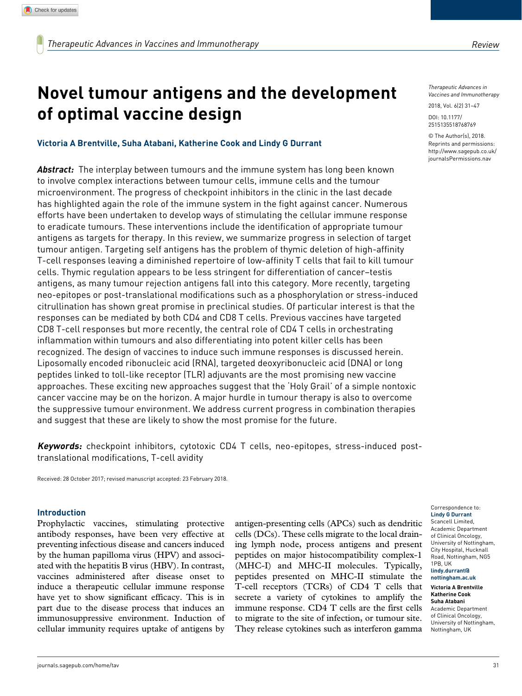# **Novel tumour antigens and the development of optimal vaccine design**

# **Victoria A Brentville, Suha Atabani, Katherine Cook and Lindy G Durrant**

*Abstract:* The interplay between tumours and the immune system has long been known to involve complex interactions between tumour cells, immune cells and the tumour microenvironment. The progress of checkpoint inhibitors in the clinic in the last decade has highlighted again the role of the immune system in the fight against cancer. Numerous efforts have been undertaken to develop ways of stimulating the cellular immune response to eradicate tumours. These interventions include the identification of appropriate tumour antigens as targets for therapy. In this review, we summarize progress in selection of target tumour antigen. Targeting self antigens has the problem of thymic deletion of high-affinity T-cell responses leaving a diminished repertoire of low-affinity T cells that fail to kill tumour cells. Thymic regulation appears to be less stringent for differentiation of cancer–testis antigens, as many tumour rejection antigens fall into this category. More recently, targeting neo-epitopes or post-translational modifications such as a phosphorylation or stress-induced citrullination has shown great promise in preclinical studies. Of particular interest is that the responses can be mediated by both CD4 and CD8 T cells. Previous vaccines have targeted CD8 T-cell responses but more recently, the central role of CD4 T cells in orchestrating inflammation within tumours and also differentiating into potent killer cells has been recognized. The design of vaccines to induce such immune responses is discussed herein. Liposomally encoded ribonucleic acid (RNA), targeted deoxyribonucleic acid (DNA) or long peptides linked to toll-like receptor (TLR) adjuvants are the most promising new vaccine approaches. These exciting new approaches suggest that the 'Holy Grail' of a simple nontoxic cancer vaccine may be on the horizon. A major hurdle in tumour therapy is also to overcome the suppressive tumour environment. We address current progress in combination therapies and suggest that these are likely to show the most promise for the future.

**Keywords:** checkpoint inhibitors, cytotoxic CD4 T cells, neo-epitopes, stress-induced posttranslational modifications, T-cell avidity

Received: 28 October 2017; revised manuscript accepted: 23 February 2018.

#### **Introduction**

Prophylactic vaccines, stimulating protective antibody responses, have been very effective at preventing infectious disease and cancers induced by the human papilloma virus (HPV) and associated with the hepatitis B virus (HBV). In contrast, vaccines administered after disease onset to induce a therapeutic cellular immune response have yet to show significant efficacy. This is in part due to the disease process that induces an immunosuppressive environment. Induction of cellular immunity requires uptake of antigens by antigen-presenting cells (APCs) such as dendritic cells (DCs). These cells migrate to the local draining lymph node, process antigens and present peptides on major histocompatibility complex-1 (MHC-I) and MHC-II molecules. Typically, peptides presented on MHC-II stimulate the T-cell receptors (TCRs) of CD4 T cells that secrete a variety of cytokines to amplify the immune response. CD4 T cells are the first cells to migrate to the site of infection, or tumour site. They release cytokines such as interferon gamma

*Therapeutic Advances in Vaccines and Immunotherapy*

2018, Vol. 6(2) 31–47

DOI: 10.1177/ 2515135518768769

© The Author(s), 2018. Reprints and permissions: [http://www.sagepub.co.uk/](https://uk.sagepub.com/en-gb/journals-permissions) [journalsPermissions.nav](https://uk.sagepub.com/en-gb/journals-permissions)

Correspondence to: **Lindy G Durrant** Scancell Limited, Academic Department of Clinical Oncology, University of Nottingham, City Hospital, Hucknall Road, Nottingham, NG5 1PB, UK **[lindy.durrant@](mailto:lindy.durrant@nottingham.ac.uk) [nottingham.ac.uk](mailto:lindy.durrant@nottingham.ac.uk)**

**Victoria A Brentville Katherine Cook Suha Atabani**

Academic Department of Clinical Oncology, University of Nottingham, Nottingham, UK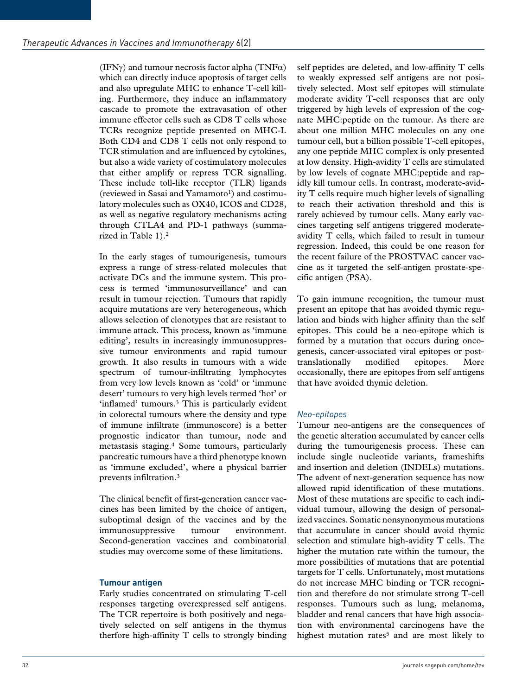(IFN $\gamma$ ) and tumour necrosis factor alpha (TNF $\alpha$ ) which can directly induce apoptosis of target cells and also upregulate MHC to enhance T-cell killing. Furthermore, they induce an inflammatory cascade to promote the extravasation of other immune effector cells such as CD8 T cells whose TCRs recognize peptide presented on MHC-I. Both CD4 and CD8 T cells not only respond to TCR stimulation and are influenced by cytokines, but also a wide variety of costimulatory molecules that either amplify or repress TCR signalling. These include toll-like receptor (TLR) ligands (reviewed in Sasai and Yamamoto<sup>1</sup>) and costimulatory molecules such as OX40, ICOS and CD28, as well as negative regulatory mechanisms acting through CTLA4 and PD-1 pathways (summarized in Table 1).2

In the early stages of tumourigenesis, tumours express a range of stress-related molecules that activate DCs and the immune system. This process is termed 'immunosurveillance' and can result in tumour rejection. Tumours that rapidly acquire mutations are very heterogeneous, which allows selection of clonotypes that are resistant to immune attack. This process, known as 'immune editing', results in increasingly immunosuppressive tumour environments and rapid tumour growth. It also results in tumours with a wide spectrum of tumour-infiltrating lymphocytes from very low levels known as 'cold' or 'immune desert' tumours to very high levels termed 'hot' or 'inflamed' tumours.<sup>3</sup> This is particularly evident in colorectal tumours where the density and type of immune infiltrate (immunoscore) is a better prognostic indicator than tumour, node and metastasis staging.4 Some tumours, particularly pancreatic tumours have a third phenotype known as 'immune excluded', where a physical barrier prevents infiltration.3

The clinical benefit of first-generation cancer vaccines has been limited by the choice of antigen, suboptimal design of the vaccines and by the immunosuppressive tumour environment. Second-generation vaccines and combinatorial studies may overcome some of these limitations.

# **Tumour antigen**

Early studies concentrated on stimulating T-cell responses targeting overexpressed self antigens. The TCR repertoire is both positively and negatively selected on self antigens in the thymus therfore high-affinity T cells to strongly binding self peptides are deleted, and low-affinity T cells to weakly expressed self antigens are not positively selected. Most self epitopes will stimulate moderate avidity T-cell responses that are only triggered by high levels of expression of the cognate MHC:peptide on the tumour. As there are about one million MHC molecules on any one tumour cell, but a billion possible T-cell epitopes, any one peptide MHC complex is only presented at low density. High-avidity T cells are stimulated by low levels of cognate MHC:peptide and rapidly kill tumour cells. In contrast, moderate-avidity T cells require much higher levels of signalling to reach their activation threshold and this is rarely achieved by tumour cells. Many early vaccines targeting self antigens triggered moderateavidity T cells, which failed to result in tumour regression. Indeed, this could be one reason for the recent failure of the PROSTVAC cancer vaccine as it targeted the self-antigen prostate-specific antigen (PSA).

To gain immune recognition, the tumour must present an epitope that has avoided thymic regulation and binds with higher affinity than the self epitopes. This could be a neo-epitope which is formed by a mutation that occurs during oncogenesis, cancer-associated viral epitopes or posttranslationally modified epitopes. More occasionally, there are epitopes from self antigens that have avoided thymic deletion.

#### *Neo-epitopes*

Tumour neo-antigens are the consequences of the genetic alteration accumulated by cancer cells during the tumourigenesis process. These can include single nucleotide variants, frameshifts and insertion and deletion (INDELs) mutations. The advent of next-generation sequence has now allowed rapid identification of these mutations. Most of these mutations are specific to each individual tumour, allowing the design of personalized vaccines. Somatic nonsynonymous mutations that accumulate in cancer should avoid thymic selection and stimulate high-avidity T cells. The higher the mutation rate within the tumour, the more possibilities of mutations that are potential targets for T cells. Unfortunately, most mutations do not increase MHC binding or TCR recognition and therefore do not stimulate strong T-cell responses. Tumours such as lung, melanoma, bladder and renal cancers that have high association with environmental carcinogens have the highest mutation rates<sup>5</sup> and are most likely to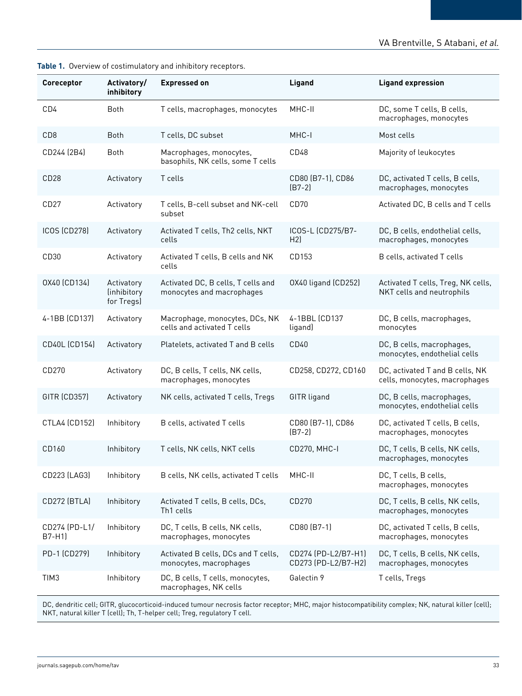| Coreceptor              | Activatory/<br>inhibitory               | <b>Expressed on</b>                                             | Ligand                                     | <b>Ligand expression</b>                                         |
|-------------------------|-----------------------------------------|-----------------------------------------------------------------|--------------------------------------------|------------------------------------------------------------------|
| CD4                     | <b>Both</b>                             | T cells, macrophages, monocytes                                 | MHC-II                                     | DC, some T cells, B cells,<br>macrophages, monocytes             |
| CD <sub>8</sub>         | <b>Both</b>                             | T cells, DC subset                                              | MHC-I                                      | Most cells                                                       |
| CD244 (2B4)             | Both                                    | Macrophages, monocytes,<br>basophils, NK cells, some T cells    | CD48                                       | Majority of leukocytes                                           |
| CD <sub>28</sub>        | Activatory                              | T cells                                                         | CD80 (B7-1), CD86<br>$(B7-2)$              | DC, activated T cells, B cells,<br>macrophages, monocytes        |
| CD <sub>27</sub>        | Activatory                              | T cells, B-cell subset and NK-cell<br>subset                    | CD70                                       | Activated DC, B cells and T cells                                |
| <b>ICOS (CD278)</b>     | Activatory                              | Activated T cells, Th2 cells, NKT<br>cells                      | ICOS-L (CD275/B7-<br>H2                    | DC, B cells, endothelial cells,<br>macrophages, monocytes        |
| CD <sub>30</sub>        | Activatory                              | Activated T cells, B cells and NK<br>cells                      | CD153                                      | B cells, activated T cells                                       |
| 0X40 (CD134)            | Activatory<br>(inhibitory<br>for Tregs) | Activated DC, B cells, T cells and<br>monocytes and macrophages | OX40 ligand (CD252)                        | Activated T cells, Treg, NK cells,<br>NKT cells and neutrophils  |
| 4-1BB (CD137)           | Activatory                              | Macrophage, monocytes, DCs, NK<br>cells and activated T cells   | 4-1BBL (CD137<br>ligand)                   | DC, B cells, macrophages,<br>monocytes                           |
| CD40L (CD154)           | Activatory                              | Platelets, activated T and B cells                              | CD40                                       | DC, B cells, macrophages,<br>monocytes, endothelial cells        |
| CD270                   | Activatory                              | DC, B cells, T cells, NK cells,<br>macrophages, monocytes       | CD258, CD272, CD160                        | DC, activated T and B cells, NK<br>cells, monocytes, macrophages |
| GITR (CD357)            | Activatory                              | NK cells, activated T cells, Tregs                              | GITR ligand                                | DC, B cells, macrophages,<br>monocytes, endothelial cells        |
| CTLA4 (CD152)           | Inhibitory                              | B cells, activated T cells                                      | CD80 (B7-1), CD86<br>$(B7-2)$              | DC, activated T cells, B cells,<br>macrophages, monocytes        |
| CD160                   | Inhibitory                              | T cells, NK cells, NKT cells                                    | CD270, MHC-I                               | DC, T cells, B cells, NK cells,<br>macrophages, monocytes        |
| CD223 (LAG3)            | Inhibitory                              | B cells, NK cells, activated T cells                            | MHC-II                                     | DC, T cells, B cells,<br>macrophages, monocytes                  |
| CD272 (BTLA)            | Inhibitory                              | Activated T cells, B cells, DCs,<br>Th1 cells                   | CD270                                      | DC, T cells, B cells, NK cells,<br>macrophages, monocytes        |
| CD274 (PD-L1/<br>B7-H1) | Inhibitory                              | DC, T cells, B cells, NK cells,<br>macrophages, monocytes       | CD80 (B7-1)                                | DC, activated T cells, B cells,<br>macrophages, monocytes        |
| PD-1 (CD279)            | Inhibitory                              | Activated B cells, DCs and T cells,<br>monocytes, macrophages   | CD274 (PD-L2/B7-H1)<br>CD273 (PD-L2/B7-H2) | DC, T cells, B cells, NK cells,<br>macrophages, monocytes        |
| TIM <sub>3</sub>        | Inhibitory                              | DC, B cells, T cells, monocytes,<br>macrophages, NK cells       | Galectin 9                                 | T cells, Tregs                                                   |

**Table 1.** Overview of costimulatory and inhibitory receptors.

DC, dendritic cell; GITR, glucocorticoid-induced tumour necrosis factor receptor; MHC, major histocompatibility complex; NK, natural killer (cell); NKT, natural killer T (cell); Th, T-helper cell; Treg, regulatory T cell.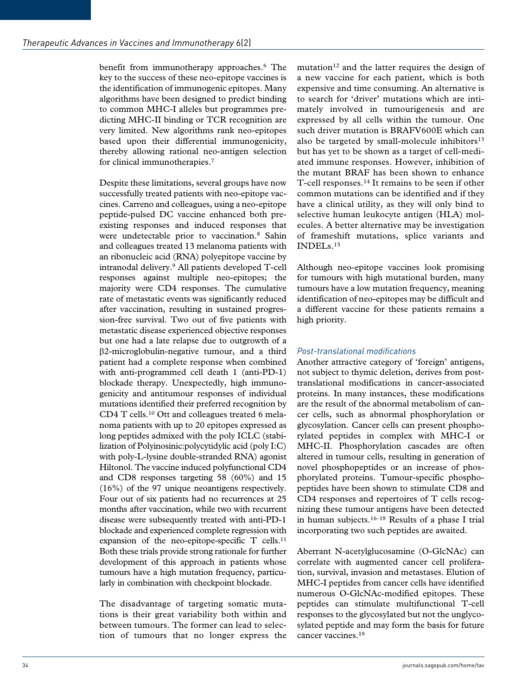benefit from immunotherapy approaches.<sup>6</sup> The key to the success of these neo-epitope vaccines is the identification of immunogenic epitopes. Many algorithms have been designed to predict binding to common MHC-I alleles but programmes predicting MHC-II binding or TCR recognition are very limited. New algorithms rank neo-epitopes based upon their differential immunogenicity, thereby allowing rational neo-antigen selection for clinical immunotherapies.7

Despite these limitations, several groups have now successfully treated patients with neo-epitope vaccines. Carreno and colleagues, using a neo-epitope peptide-pulsed DC vaccine enhanced both preexisting responses and induced responses that were undetectable prior to vaccination.8 Sahin and colleagues treated 13 melanoma patients with an ribonucleic acid (RNA) polyepitope vaccine by intranodal delivery.9 All patients developed T-cell responses against multiple neo-epitopes; the majority were CD4 responses. The cumulative rate of metastatic events was significantly reduced after vaccination, resulting in sustained progression-free survival. Two out of five patients with metastatic disease experienced objective responses but one had a late relapse due to outgrowth of a β2-microglobulin-negative tumour, and a third patient had a complete response when combined with anti-programmed cell death 1 (anti-PD-1) blockade therapy. Unexpectedly, high immunogenicity and antitumour responses of individual mutations identified their preferred recognition by CD4 T cells.10 Ott and colleagues treated 6 melanoma patients with up to 20 epitopes expressed as long peptides admixed with the poly ICLC (stabilization of Polyinosinic:polycytidylic acid (poly I:C) with poly-L-lysine double-stranded RNA) agonist Hiltonol. The vaccine induced polyfunctional CD4 and CD8 responses targeting 58 (60%) and 15 (16%) of the 97 unique neoantigens respectively. Four out of six patients had no recurrences at 25 months after vaccination, while two with recurrent disease were subsequently treated with anti-PD-1 blockade and experienced complete regression with expansion of the neo-epitope-specific  $T$  cells.<sup>11</sup> Both these trials provide strong rationale for further development of this approach in patients whose tumours have a high mutation frequency, particularly in combination with checkpoint blockade.

The disadvantage of targeting somatic mutations is their great variability both within and between tumours. The former can lead to selection of tumours that no longer express the

mutation<sup>12</sup> and the latter requires the design of a new vaccine for each patient, which is both expensive and time consuming. An alternative is to search for 'driver' mutations which are intimately involved in tumourigenesis and are expressed by all cells within the tumour. One such driver mutation is BRAFV600E which can also be targeted by small-molecule inhibitors $13$ but has yet to be shown as a target of cell-mediated immune responses. However, inhibition of the mutant BRAF has been shown to enhance T-cell responses.14 It remains to be seen if other common mutations can be identified and if they have a clinical utility, as they will only bind to selective human leukocyte antigen (HLA) molecules. A better alternative may be investigation of frameshift mutations, splice variants and INDELs.15

Although neo-epitope vaccines look promising for tumours with high mutational burden, many tumours have a low mutation frequency, meaning identification of neo-epitopes may be difficult and a different vaccine for these patients remains a high priority.

# *Post-translational modifications*

Another attractive category of 'foreign' antigens, not subject to thymic deletion, derives from posttranslational modifications in cancer-associated proteins. In many instances, these modifications are the result of the abnormal metabolism of cancer cells, such as abnormal phosphorylation or glycosylation. Cancer cells can present phosphorylated peptides in complex with MHC-I or MHC-II. Phosphorylation cascades are often altered in tumour cells, resulting in generation of novel phosphopeptides or an increase of phosphorylated proteins. Tumour-specific phosphopeptides have been shown to stimulate CD8 and CD4 responses and repertoires of T cells recognizing these tumour antigens have been detected in human subjects.<sup>16–18</sup> Results of a phase I trial incorporating two such peptides are awaited.

Aberrant N-acetylglucosamine (O-GlcNAc) can correlate with augmented cancer cell proliferation, survival, invasion and metastases. Elution of MHC-I peptides from cancer cells have identified numerous O-GlcNAc-modified epitopes. These peptides can stimulate multifunctional T-cell responses to the glycosylated but not the unglycosylated peptide and may form the basis for future cancer vaccines.<sup>19</sup>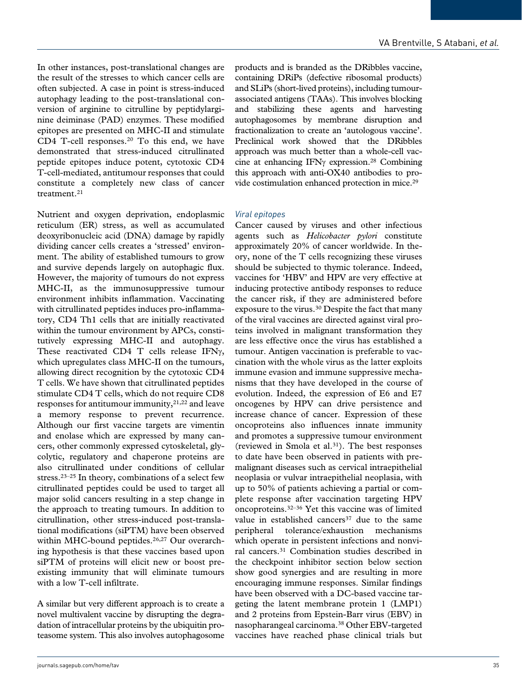In other instances, post-translational changes are the result of the stresses to which cancer cells are often subjected. A case in point is stress-induced autophagy leading to the post-translational conversion of arginine to citrulline by peptidylarginine deiminase (PAD) enzymes. These modified epitopes are presented on MHC-II and stimulate CD4 T-cell responses.<sup>20</sup> To this end, we have demonstrated that stress-induced citrullinated peptide epitopes induce potent, cytotoxic CD4 T-cell-mediated, antitumour responses that could constitute a completely new class of cancer treatment<sup>21</sup>

Nutrient and oxygen deprivation, endoplasmic reticulum (ER) stress, as well as accumulated deoxyribonucleic acid (DNA) damage by rapidly dividing cancer cells creates a 'stressed' environment. The ability of established tumours to grow and survive depends largely on autophagic flux. However, the majority of tumours do not express MHC-II, as the immunosuppressive tumour environment inhibits inflammation. Vaccinating with citrullinated peptides induces pro-inflammatory, CD4 Th1 cells that are initially reactivated within the tumour environment by APCs, constitutively expressing MHC-II and autophagy. These reactivated CD4 T cells release IFN<sub>y</sub>, which upregulates class MHC-II on the tumours, allowing direct recognition by the cytotoxic CD4 T cells. We have shown that citrullinated peptides stimulate CD4 T cells, which do not require CD8 responses for antitumour immunity, $2^{1,22}$  and leave a memory response to prevent recurrence. Although our first vaccine targets are vimentin and enolase which are expressed by many cancers, other commonly expressed cytoskeletal, glycolytic, regulatory and chaperone proteins are also citrullinated under conditions of cellular stress.23–25 In theory, combinations of a select few citrullinated peptides could be used to target all major solid cancers resulting in a step change in the approach to treating tumours. In addition to citrullination, other stress-induced post-translational modifications (siPTM) have been observed within MHC-bound peptides.<sup>26,27</sup> Our overarching hypothesis is that these vaccines based upon siPTM of proteins will elicit new or boost preexisting immunity that will eliminate tumours with a low T-cell infiltrate.

A similar but very different approach is to create a novel multivalent vaccine by disrupting the degradation of intracellular proteins by the ubiquitin proteasome system. This also involves autophagosome

products and is branded as the DRibbles vaccine, containing DRiPs (defective ribosomal products) and SLiPs (short-lived proteins), including tumourassociated antigens (TAAs). This involves blocking and stabilizing these agents and harvesting autophagosomes by membrane disruption and fractionalization to create an 'autologous vaccine'. Preclinical work showed that the DRibbles approach was much better than a whole-cell vaccine at enhancing IFNγ expression.28 Combining this approach with anti-OX40 antibodies to provide costimulation enhanced protection in mice.29

#### *Viral epitopes*

Cancer caused by viruses and other infectious agents such as *Helicobacter pylori* constitute approximately 20% of cancer worldwide. In theory, none of the T cells recognizing these viruses should be subjected to thymic tolerance. Indeed, vaccines for 'HBV' and HPV are very effective at inducing protective antibody responses to reduce the cancer risk, if they are administered before exposure to the virus.<sup>30</sup> Despite the fact that many of the viral vaccines are directed against viral proteins involved in malignant transformation they are less effective once the virus has established a tumour. Antigen vaccination is preferable to vaccination with the whole virus as the latter exploits immune evasion and immune suppressive mechanisms that they have developed in the course of evolution. Indeed, the expression of E6 and E7 oncogenes by HPV can drive persistence and increase chance of cancer. Expression of these oncoproteins also influences innate immunity and promotes a suppressive tumour environment (reviewed in Smola et al. $31$ ). The best responses to date have been observed in patients with premalignant diseases such as cervical intraepithelial neoplasia or vulvar intraepithelial neoplasia, with up to 50% of patients achieving a partial or complete response after vaccination targeting HPV oncoproteins.32–36 Yet this vaccine was of limited value in established cancers<sup>37</sup> due to the same peripheral tolerance/exhaustion mechanisms which operate in persistent infections and nonviral cancers.31 Combination studies described in the checkpoint inhibitor section below section show good synergies and are resulting in more encouraging immune responses. Similar findings have been observed with a DC-based vaccine targeting the latent membrane protein 1 (LMP1) and 2 proteins from Epstein-Barr virus (EBV) in nasopharangeal carcinoma.38 Other EBV-targeted vaccines have reached phase clinical trials but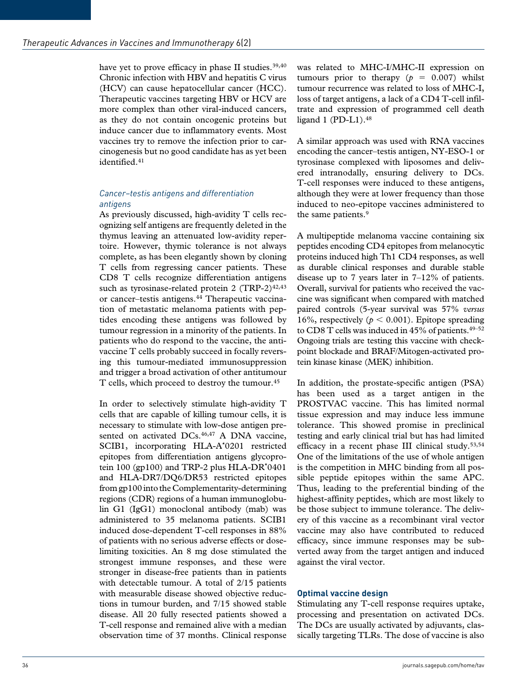have yet to prove efficacy in phase II studies.<sup>39,40</sup> Chronic infection with HBV and hepatitis C virus (HCV) can cause hepatocellular cancer (HCC). Therapeutic vaccines targeting HBV or HCV are more complex than other viral-induced cancers, as they do not contain oncogenic proteins but induce cancer due to inflammatory events. Most vaccines try to remove the infection prior to carcinogenesis but no good candidate has as yet been identified.<sup>41</sup>

### *Cancer–testis antigens and differentiation antigens*

As previously discussed, high-avidity T cells recognizing self antigens are frequently deleted in the thymus leaving an attenuated low-avidity repertoire. However, thymic tolerance is not always complete, as has been elegantly shown by cloning T cells from regressing cancer patients. These CD8 T cells recognize differentiation antigens such as tyrosinase-related protein 2 (TRP-2) $42,43$ or cancer–testis antigens.44 Therapeutic vaccination of metastatic melanoma patients with peptides encoding these antigens was followed by tumour regression in a minority of the patients. In patients who do respond to the vaccine, the antivaccine T cells probably succeed in focally reversing this tumour-mediated immunosuppression and trigger a broad activation of other antitumour T cells, which proceed to destroy the tumour.45

In order to selectively stimulate high-avidity T cells that are capable of killing tumour cells, it is necessary to stimulate with low-dose antigen presented on activated DCs.<sup>46,47</sup> A DNA vaccine, SCIB1, incorporating HLA-A\*0201 restricted epitopes from differentiation antigens glycoprotein 100 (gp100) and TRP-2 plus HLA-DR\*0401 and HLA-DR7/DQ6/DR53 restricted epitopes from gp100 into the Complementarity-determining regions (CDR) regions of a human immunoglobulin G1 (IgG1) monoclonal antibody (mab) was administered to 35 melanoma patients. SCIB1 induced dose-dependent T-cell responses in 88% of patients with no serious adverse effects or doselimiting toxicities. An 8 mg dose stimulated the strongest immune responses, and these were stronger in disease-free patients than in patients with detectable tumour. A total of 2/15 patients with measurable disease showed objective reductions in tumour burden, and 7/15 showed stable disease. All 20 fully resected patients showed a T-cell response and remained alive with a median observation time of 37 months. Clinical response was related to MHC-I/MHC-II expression on tumours prior to therapy  $(p = 0.007)$  whilst tumour recurrence was related to loss of MHC-I, loss of target antigens, a lack of a CD4 T-cell infiltrate and expression of programmed cell death ligand 1 (PD-L1).48

A similar approach was used with RNA vaccines encoding the cancer–testis antigen, NY-ESO-1 or tyrosinase complexed with liposomes and delivered intranodally, ensuring delivery to DCs. T-cell responses were induced to these antigens, although they were at lower frequency than those induced to neo-epitope vaccines administered to the same patients.9

A multipeptide melanoma vaccine containing six peptides encoding CD4 epitopes from melanocytic proteins induced high Th1 CD4 responses, as well as durable clinical responses and durable stable disease up to 7 years later in 7–12% of patients. Overall, survival for patients who received the vaccine was significant when compared with matched paired controls (5-year survival was 57% *versus* 16%, respectively ( $p < 0.001$ ). Epitope spreading to CD8 T cells was induced in 45% of patients.<sup>49-52</sup> Ongoing trials are testing this vaccine with checkpoint blockade and BRAF/Mitogen-activated protein kinase kinase (MEK) inhibition.

In addition, the prostate-specific antigen (PSA) has been used as a target antigen in the PROSTVAC vaccine. This has limited normal tissue expression and may induce less immune tolerance. This showed promise in preclinical testing and early clinical trial but has had limited efficacy in a recent phase III clinical study.<sup>53,54</sup> One of the limitations of the use of whole antigen is the competition in MHC binding from all possible peptide epitopes within the same APC. Thus, leading to the preferential binding of the highest-affinity peptides, which are most likely to be those subject to immune tolerance. The delivery of this vaccine as a recombinant viral vector vaccine may also have contributed to reduced efficacy, since immune responses may be subverted away from the target antigen and induced against the viral vector.

# **Optimal vaccine design**

Stimulating any T-cell response requires uptake, processing and presentation on activated DCs. The DCs are usually activated by adjuvants, classically targeting TLRs. The dose of vaccine is also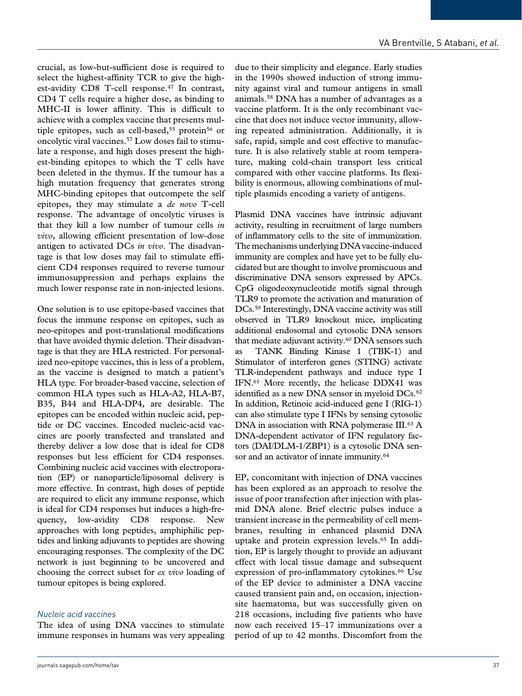crucial, as low-but-sufficient dose is required to select the highest-affinity TCR to give the highest-avidity CD8 T-cell response.<sup>47</sup> In contrast, CD4 T cells require a higher dose, as binding to MHC-II is lower affinity. This is difficult to achieve with a complex vaccine that presents multiple epitopes, such as cell-based,<sup>55</sup> protein<sup>56</sup> or oncolytic viral vaccines.57 Low doses fail to stimulate a response, and high doses present the highest-binding epitopes to which the T cells have been deleted in the thymus. If the tumour has a high mutation frequency that generates strong MHC-binding epitopes that outcompete the self epitopes, they may stimulate a *de novo* T-cell response. The advantage of oncolytic viruses is that they kill a low number of tumour cells *in vivo*, allowing efficient presentation of low-dose antigen to activated DCs *in vivo*. The disadvantage is that low doses may fail to stimulate efficient CD4 responses required to reverse tumour immunosuppression and perhaps explains the much lower response rate in non-injected lesions.

One solution is to use epitope-based vaccines that focus the immune response on epitopes, such as neo-epitopes and post-translational modifications that have avoided thymic deletion. Their disadvantage is that they are HLA restricted. For personalized neo-epitope vaccines, this is less of a problem, as the vaccine is designed to match a patient's HLA type. For broader-based vaccine, selection of common HLA types such as HLA-A2, HLA-B7, B35, B44 and HLA-DP4, are desirable. The epitopes can be encoded within nucleic acid, peptide or DC vaccines. Encoded nucleic-acid vaccines are poorly transfected and translated and thereby deliver a low dose that is ideal for CD8 responses but less efficient for CD4 responses. Combining nucleic acid vaccines with electroporation (EP) or nanoparticle/liposomal delivery is more effective. In contrast, high doses of peptide are required to elicit any immune response, which is ideal for CD4 responses but induces a high-frequency, low-avidity CD8 response. New approaches with long peptides, amphiphilic peptides and linking adjuvants to peptides are showing encouraging responses. The complexity of the DC network is just beginning to be uncovered and choosing the correct subset for *ex vivo* loading of tumour epitopes is being explored.

#### *Nucleic acid vaccines*

The idea of using DNA vaccines to stimulate immune responses in humans was very appealing due to their simplicity and elegance. Early studies in the 1990s showed induction of strong immunity against viral and tumour antigens in small animals.58 DNA has a number of advantages as a vaccine platform. It is the only recombinant vaccine that does not induce vector immunity, allowing repeated administration. Additionally, it is safe, rapid, simple and cost effective to manufacture. It is also relatively stable at room temperature, making cold-chain transport less critical compared with other vaccine platforms. Its flexibility is enormous, allowing combinations of multiple plasmids encoding a variety of antigens.

Plasmid DNA vaccines have intrinsic adjuvant activity, resulting in recruitment of large numbers of inflammatory cells to the site of immunization. The mechanisms underlying DNA vaccine-induced immunity are complex and have yet to be fully elucidated but are thought to involve promiscuous and discriminative DNA sensors expressed by APCs. CpG oligodeoxynucleotide motifs signal through TLR9 to promote the activation and maturation of DCs.59 Interestingly, DNA vaccine activity was still observed in TLR9 knockout mice, implicating additional endosomal and cytosolic DNA sensors that mediate adjuvant activity.<sup>60</sup> DNA sensors such as TANK Binding Kinase 1 (TBK-1) and Stimulator of interferon genes (STING) activate TLR-independent pathways and induce type I IFN.61 More recently, the helicase DDX41 was identified as a new DNA sensor in myeloid DCs.<sup>62</sup> In addition, Retinoic acid-induced gene I (RIG-1) can also stimulate type I IFNs by sensing cytosolic DNA in association with RNA polymerase III.<sup>63</sup> A DNA-dependent activator of IFN regulatory factors (DAI/DLM-1/ZBP1) is a cytosolic DNA sensor and an activator of innate immunity.<sup>64</sup>

EP, concomitant with injection of DNA vaccines has been explored as an approach to resolve the issue of poor transfection after injection with plasmid DNA alone. Brief electric pulses induce a transient increase in the permeability of cell membranes, resulting in enhanced plasmid DNA uptake and protein expression levels.65 In addition, EP is largely thought to provide an adjuvant effect with local tissue damage and subsequent expression of pro-inflammatory cytokines.<sup>66</sup> Use of the EP device to administer a DNA vaccine caused transient pain and, on occasion, injectionsite haematoma, but was successfully given on 218 occasions, including five patients who have now each received 15–17 immunizations over a period of up to 42 months. Discomfort from the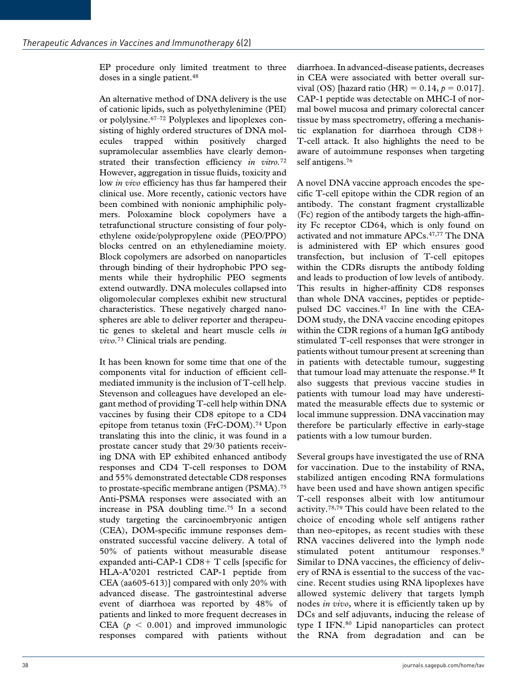EP procedure only limited treatment to three doses in a single patient.48

An alternative method of DNA delivery is the use of cationic lipids, such as polyethylenimine (PEI) or polylysine.67–72 Polyplexes and lipoplexes consisting of highly ordered structures of DNA molecules trapped within positively charged supramolecular assemblies have clearly demonstrated their transfection efficiency *in vitro.*<sup>72</sup> However, aggregation in tissue fluids, toxicity and low *in vivo* efficiency has thus far hampered their clinical use. More recently, cationic vectors have been combined with nonionic amphiphilic polymers. Poloxamine block copolymers have a tetrafunctional structure consisting of four polyethylene oxide/polypropylene oxide (PEO/PPO) blocks centred on an ethylenediamine moiety. Block copolymers are adsorbed on nanoparticles through binding of their hydrophobic PPO segments while their hydrophilic PEO segments extend outwardly. DNA molecules collapsed into oligomolecular complexes exhibit new structural characteristics. These negatively charged nanospheres are able to deliver reporter and therapeutic genes to skeletal and heart muscle cells *in vivo.*73 Clinical trials are pending.

It has been known for some time that one of the components vital for induction of efficient cellmediated immunity is the inclusion of T-cell help. Stevenson and colleagues have developed an elegant method of providing T-cell help within DNA vaccines by fusing their CD8 epitope to a CD4 epitope from tetanus toxin (FrC-DOM).<sup>74</sup> Upon translating this into the clinic, it was found in a prostate cancer study that 29/30 patients receiving DNA with EP exhibited enhanced antibody responses and CD4 T-cell responses to DOM and 55% demonstrated detectable CD8 responses to prostate-specific membrane antigen (PSMA).75 Anti-PSMA responses were associated with an increase in PSA doubling time.75 In a second study targeting the carcinoembryonic antigen (CEA), DOM-specific immune responses demonstrated successful vaccine delivery. A total of 50% of patients without measurable disease expanded anti-CAP-1 CD8+ T cells [specific for HLA-A\*0201 restricted CAP-1 peptide from CEA (aa605-613)] compared with only 20% with advanced disease. The gastrointestinal adverse event of diarrhoea was reported by 48% of patients and linked to more frequent decreases in CEA  $(p < 0.001)$  and improved immunologic responses compared with patients without

diarrhoea. In advanced-disease patients, decreases in CEA were associated with better overall survival (OS) [hazard ratio (HR) =  $0.14, p = 0.017$ ]. CAP-1 peptide was detectable on MHC-I of normal bowel mucosa and primary colorectal cancer tissue by mass spectrometry, offering a mechanistic explanation for diarrhoea through CD8+ T-cell attack. It also highlights the need to be aware of autoimmune responses when targeting self antigens.<sup>76</sup>

A novel DNA vaccine approach encodes the specific T-cell epitope within the CDR region of an antibody. The constant fragment crystallizable (Fc) region of the antibody targets the high-affinity Fc receptor CD64, which is only found on activated and not immature APCs.47,77 The DNA is administered with EP which ensures good transfection, but inclusion of T-cell epitopes within the CDRs disrupts the antibody folding and leads to production of low levels of antibody. This results in higher-affinity CD8 responses than whole DNA vaccines, peptides or peptidepulsed DC vaccines.47 In line with the CEA-DOM study, the DNA vaccine encoding epitopes within the CDR regions of a human IgG antibody stimulated T-cell responses that were stronger in patients without tumour present at screening than in patients with detectable tumour, suggesting that tumour load may attenuate the response.<sup>48</sup> It also suggests that previous vaccine studies in patients with tumour load may have underestimated the measurable effects due to systemic or local immune suppression. DNA vaccination may therefore be particularly effective in early-stage patients with a low tumour burden.

Several groups have investigated the use of RNA for vaccination. Due to the instability of RNA, stabilized antigen encoding RNA formulations have been used and have shown antigen specific T-cell responses albeit with low antitumour activity.78,79 This could have been related to the choice of encoding whole self antigens rather than neo-epitopes, as recent studies with these RNA vaccines delivered into the lymph node stimulated potent antitumour responses.9 Similar to DNA vaccines, the efficiency of delivery of RNA is essential to the success of the vaccine. Recent studies using RNA lipoplexes have allowed systemic delivery that targets lymph nodes *in vivo*, where it is efficiently taken up by DCs and self adjuvants, inducing the release of type I IFN.80 Lipid nanoparticles can protect the RNA from degradation and can be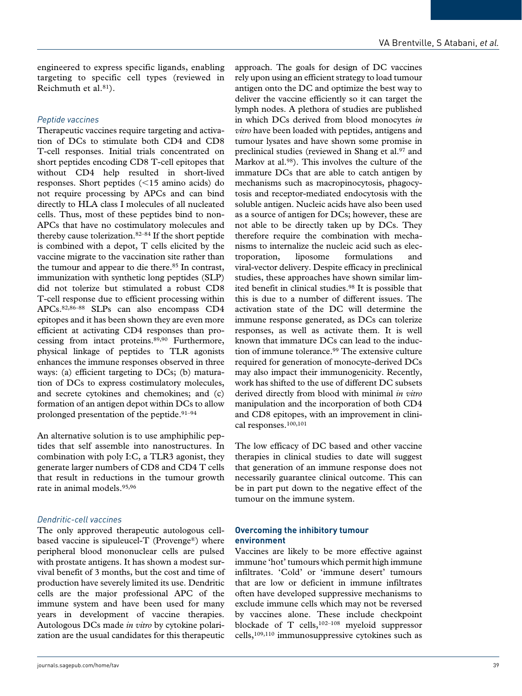engineered to express specific ligands, enabling targeting to specific cell types (reviewed in Reichmuth et al.<sup>81</sup>).

# *Peptide vaccines*

Therapeutic vaccines require targeting and activation of DCs to stimulate both CD4 and CD8 T-cell responses. Initial trials concentrated on short peptides encoding CD8 T-cell epitopes that without CD4 help resulted in short-lived responses. Short peptides (<15 amino acids) do not require processing by APCs and can bind directly to HLA class I molecules of all nucleated cells. Thus, most of these peptides bind to non-APCs that have no costimulatory molecules and thereby cause tolerization.82–84 If the short peptide is combined with a depot, T cells elicited by the vaccine migrate to the vaccination site rather than the tumour and appear to die there.<sup>85</sup> In contrast, immunization with synthetic long peptides (SLP) did not tolerize but stimulated a robust CD8 T-cell response due to efficient processing within APCs.82,86–88 SLPs can also encompass CD4 epitopes and it has been shown they are even more efficient at activating CD4 responses than processing from intact proteins.89,90 Furthermore, physical linkage of peptides to TLR agonists enhances the immune responses observed in three ways: (a) efficient targeting to DCs; (b) maturation of DCs to express costimulatory molecules, and secrete cytokines and chemokines; and (c) formation of an antigen depot within DCs to allow prolonged presentation of the peptide.<sup>91-94</sup>

An alternative solution is to use amphiphilic peptides that self assemble into nanostructures. In combination with poly I:C, a TLR3 agonist, they generate larger numbers of CD8 and CD4 T cells that result in reductions in the tumour growth rate in animal models.95,96

# *Dendritic-cell vaccines*

The only approved therapeutic autologous cellbased vaccine is sipuleucel-T (Provenge®) where peripheral blood mononuclear cells are pulsed with prostate antigens. It has shown a modest survival benefit of 3 months, but the cost and time of production have severely limited its use. Dendritic cells are the major professional APC of the immune system and have been used for many years in development of vaccine therapies. Autologous DCs made *in vitro* by cytokine polarization are the usual candidates for this therapeutic approach. The goals for design of DC vaccines rely upon using an efficient strategy to load tumour antigen onto the DC and optimize the best way to deliver the vaccine efficiently so it can target the lymph nodes. A plethora of studies are published in which DCs derived from blood monocytes *in vitro* have been loaded with peptides, antigens and tumour lysates and have shown some promise in preclinical studies (reviewed in Shang et al.<sup>97</sup> and Markov at al.<sup>98</sup>). This involves the culture of the immature DCs that are able to catch antigen by mechanisms such as macropinocytosis, phagocytosis and receptor-mediated endocytosis with the soluble antigen. Nucleic acids have also been used as a source of antigen for DCs; however, these are not able to be directly taken up by DCs. They therefore require the combination with mechanisms to internalize the nucleic acid such as electroporation, liposome formulations and viral-vector delivery. Despite efficacy in preclinical studies, these approaches have shown similar limited benefit in clinical studies.98 It is possible that this is due to a number of different issues. The activation state of the DC will determine the immune response generated, as DCs can tolerize responses, as well as activate them. It is well known that immature DCs can lead to the induction of immune tolerance.<sup>99</sup> The extensive culture required for generation of monocyte-derived DCs may also impact their immunogenicity. Recently, work has shifted to the use of different DC subsets derived directly from blood with minimal *in vitro* manipulation and the incorporation of both CD4 and CD8 epitopes, with an improvement in clini-

The low efficacy of DC based and other vaccine therapies in clinical studies to date will suggest that generation of an immune response does not necessarily guarantee clinical outcome. This can be in part put down to the negative effect of the tumour on the immune system.

# **Overcoming the inhibitory tumour environment**

cal responses.100,101

Vaccines are likely to be more effective against immune 'hot' tumours which permit high immune infiltrates. 'Cold' or 'immune desert' tumours that are low or deficient in immune infiltrates often have developed suppressive mechanisms to exclude immune cells which may not be reversed by vaccines alone. These include checkpoint blockade of T cells,<sup>102-108</sup> myeloid suppressor cells,109,110 immunosuppressive cytokines such as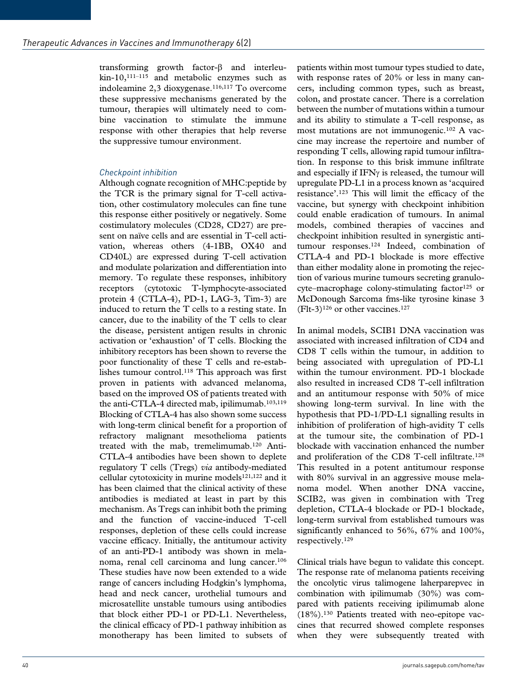transforming growth factor-β and interleukin-10,<sup>111-115</sup> and metabolic enzymes such as indoleamine 2,3 dioxygenase.116,117 To overcome these suppressive mechanisms generated by the tumour, therapies will ultimately need to combine vaccination to stimulate the immune response with other therapies that help reverse the suppressive tumour environment.

# *Checkpoint inhibition*

Although cognate recognition of MHC:peptide by the TCR is the primary signal for T-cell activation, other costimulatory molecules can fine tune this response either positively or negatively. Some costimulatory molecules (CD28, CD27) are present on naïve cells and are essential in T-cell activation, whereas others (4-1BB, OX40 and CD40L) are expressed during T-cell activation and modulate polarization and differentiation into memory. To regulate these responses, inhibitory receptors (cytotoxic T-lymphocyte-associated protein 4 (CTLA-4), PD-1, LAG-3, Tim-3) are induced to return the T cells to a resting state. In cancer, due to the inability of the T cells to clear the disease, persistent antigen results in chronic activation or 'exhaustion' of T cells. Blocking the inhibitory receptors has been shown to reverse the poor functionality of these T cells and re-establishes tumour control.<sup>118</sup> This approach was first proven in patients with advanced melanoma, based on the improved OS of patients treated with the anti-CTLA-4 directed mab, ipilimumab.<sup>103,119</sup> Blocking of CTLA-4 has also shown some success with long-term clinical benefit for a proportion of refractory malignant mesothelioma patients treated with the mab, tremelimumab.120 Anti-CTLA-4 antibodies have been shown to deplete regulatory T cells (Tregs) *via* antibody-mediated cellular cytotoxicity in murine models<sup>121,122</sup> and it has been claimed that the clinical activity of these antibodies is mediated at least in part by this mechanism. As Tregs can inhibit both the priming and the function of vaccine-induced T-cell responses, depletion of these cells could increase vaccine efficacy. Initially, the antitumour activity of an anti-PD-1 antibody was shown in melanoma, renal cell carcinoma and lung cancer.106 These studies have now been extended to a wide range of cancers including Hodgkin's lymphoma, head and neck cancer, urothelial tumours and microsatellite unstable tumours using antibodies that block either PD-1 or PD-L1. Nevertheless, the clinical efficacy of PD-1 pathway inhibition as monotherapy has been limited to subsets of

patients within most tumour types studied to date, with response rates of 20% or less in many cancers, including common types, such as breast, colon, and prostate cancer. There is a correlation between the number of mutations within a tumour and its ability to stimulate a T-cell response, as most mutations are not immunogenic.<sup>102</sup> A vaccine may increase the repertoire and number of responding T cells, allowing rapid tumour infiltration. In response to this brisk immune infiltrate and especially if IFNγ is released, the tumour will upregulate PD-L1 in a process known as 'acquired resistance'.123 This will limit the efficacy of the vaccine, but synergy with checkpoint inhibition could enable eradication of tumours. In animal models, combined therapies of vaccines and checkpoint inhibition resulted in synergistic antitumour responses.<sup>124</sup> Indeed, combination of CTLA-4 and PD-1 blockade is more effective than either modality alone in promoting the rejection of various murine tumours secreting granulocyte–macrophage colony-stimulating factor<sup>125</sup> or McDonough Sarcoma fms-like tyrosine kinase 3 (Flt-3)<sup>126</sup> or other vaccines.<sup>127</sup>

In animal models, SCIB1 DNA vaccination was associated with increased infiltration of CD4 and CD8 T cells within the tumour, in addition to being associated with upregulation of PD-L1 within the tumour environment. PD-1 blockade also resulted in increased CD8 T-cell infiltration and an antitumour response with 50% of mice showing long-term survival. In line with the hypothesis that PD-1/PD-L1 signalling results in inhibition of proliferation of high-avidity T cells at the tumour site, the combination of PD-1 blockade with vaccination enhanced the number and proliferation of the CD8 T-cell infiltrate.<sup>128</sup> This resulted in a potent antitumour response with 80% survival in an aggressive mouse melanoma model. When another DNA vaccine, SCIB2, was given in combination with Treg depletion, CTLA-4 blockade or PD-1 blockade, long-term survival from established tumours was significantly enhanced to 56%, 67% and 100%, respectively.129

Clinical trials have begun to validate this concept. The response rate of melanoma patients receiving the oncolytic virus talimogene laherparepvec in combination with ipilimumab (30%) was compared with patients receiving ipilimumab alone (18%).130 Patients treated with neo-epitope vaccines that recurred showed complete responses when they were subsequently treated with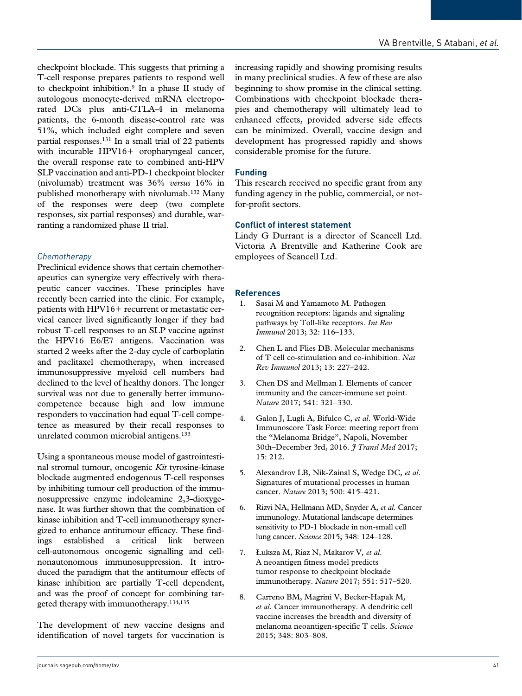checkpoint blockade. This suggests that priming a T-cell response prepares patients to respond well to checkpoint inhibition.9 In a phase II study of autologous monocyte-derived mRNA electroporated DCs plus anti-CTLA-4 in melanoma patients, the 6-month disease-control rate was 51%, which included eight complete and seven partial responses.131 In a small trial of 22 patients with incurable HPV16+ oropharyngeal cancer, the overall response rate to combined anti-HPV SLP vaccination and anti-PD-1 checkpoint blocker (nivolumab) treatment was 36% *versus* 16% in published monotherapy with nivolumab.132 Many of the responses were deep (two complete responses, six partial responses) and durable, warranting a randomized phase II trial.

# *Chemotherapy*

Preclinical evidence shows that certain chemotherapeutics can synergize very effectively with therapeutic cancer vaccines. These principles have recently been carried into the clinic. For example, patients with HPV16+ recurrent or metastatic cervical cancer lived significantly longer if they had robust T-cell responses to an SLP vaccine against the HPV16 E6/E7 antigens. Vaccination was started 2 weeks after the 2-day cycle of carboplatin and paclitaxel chemotherapy, when increased immunosuppressive myeloid cell numbers had declined to the level of healthy donors. The longer survival was not due to generally better immunocompetence because high and low immune responders to vaccination had equal T-cell competence as measured by their recall responses to unrelated common microbial antigens.133

Using a spontaneous mouse model of gastrointestinal stromal tumour, oncogenic *Kit* tyrosine-kinase blockade augmented endogenous T-cell responses by inhibiting tumour cell production of the immunosuppressive enzyme indoleamine 2,3-dioxygenase. It was further shown that the combination of kinase inhibition and T-cell immunotherapy synergized to enhance antitumour efficacy. These findings established a critical link between cell-autonomous oncogenic signalling and cellnonautonomous immunosuppression. It introduced the paradigm that the antitumour effects of kinase inhibition are partially T-cell dependent, and was the proof of concept for combining targeted therapy with immunotherapy.134,135

The development of new vaccine designs and identification of novel targets for vaccination is increasing rapidly and showing promising results in many preclinical studies. A few of these are also beginning to show promise in the clinical setting. Combinations with checkpoint blockade therapies and chemotherapy will ultimately lead to enhanced effects, provided adverse side effects can be minimized. Overall, vaccine design and development has progressed rapidly and shows considerable promise for the future.

# **Funding**

This research received no specific grant from any funding agency in the public, commercial, or notfor-profit sectors.

# **Conflict of interest statement**

Lindy G Durrant is a director of Scancell Ltd. Victoria A Brentville and Katherine Cook are employees of Scancell Ltd.

# **References**

- 1. Sasai M and Yamamoto M. Pathogen recognition receptors: ligands and signaling pathways by Toll-like receptors. *Int Rev Immunol* 2013; 32: 116–133.
- 2. Chen L and Flies DB. Molecular mechanisms of T cell co-stimulation and co-inhibition. *Nat Rev Immunol* 2013; 13: 227–242.
- 3. Chen DS and Mellman I. Elements of cancer immunity and the cancer-immune set point. *Nature* 2017; 541: 321–330.
- 4. Galon J, Lugli A, Bifulco C*, et al*. World-Wide Immunoscore Task Force: meeting report from the "Melanoma Bridge", Napoli, November 30th–December 3rd, 2016. *J Transl Med* 2017; 15: 212.
- 5. Alexandrov LB, Nik-Zainal S, Wedge DC*, et al*. Signatures of mutational processes in human cancer. *Nature* 2013; 500: 415–421.
- 6. Rizvi NA, Hellmann MD, Snyder A*, et al*. Cancer immunology. Mutational landscape determines sensitivity to PD-1 blockade in non-small cell lung cancer. *Science* 2015; 348: 124–128.
- 7. Łuksza M, Riaz N, Makarov V*, et al*. A neoantigen fitness model predicts tumor response to checkpoint blockade immunotherapy. *Nature* 2017; 551: 517–520.
- 8. Carreno BM, Magrini V, Becker-Hapak M*, et al*. Cancer immunotherapy. A dendritic cell vaccine increases the breadth and diversity of melanoma neoantigen-specific T cells. *Science* 2015; 348: 803–808.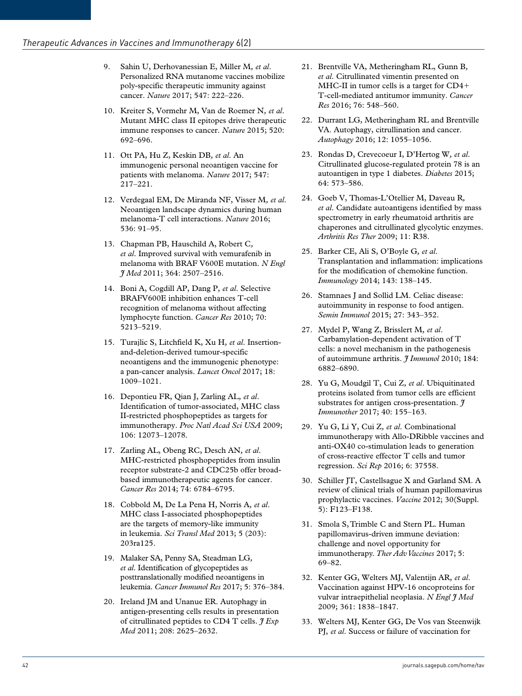- 9. Sahin U, Derhovanessian E, Miller M*, et al*. Personalized RNA mutanome vaccines mobilize poly-specific therapeutic immunity against cancer. *Nature* 2017; 547: 222–226.
- 10. Kreiter S, Vormehr M, Van de Roemer N*, et al*. Mutant MHC class II epitopes drive therapeutic immune responses to cancer. *Nature* 2015; 520: 692–696.
- 11. Ott PA, Hu Z, Keskin DB*, et al*. An immunogenic personal neoantigen vaccine for patients with melanoma. *Nature* 2017; 547: 217–221.
- 12. Verdegaal EM, De Miranda NF, Visser M*, et al*. Neoantigen landscape dynamics during human melanoma-T cell interactions. *Nature* 2016; 536: 91–95.
- 13. Chapman PB, Hauschild A, Robert C*, et al*. Improved survival with vemurafenib in melanoma with BRAF V600E mutation. *N Engl J Med* 2011; 364: 2507–2516.
- 14. Boni A, Cogdill AP, Dang P*, et al*. Selective BRAFV600E inhibition enhances T-cell recognition of melanoma without affecting lymphocyte function. *Cancer Res* 2010; 70: 5213–5219.
- 15. Turajlic S, Litchfield K, Xu H*, et al*. Insertionand-deletion-derived tumour-specific neoantigens and the immunogenic phenotype: a pan-cancer analysis. *Lancet Oncol* 2017; 18: 1009–1021.
- 16. Depontieu FR, Qian J, Zarling AL*, et al*. Identification of tumor-associated, MHC class II-restricted phosphopeptides as targets for immunotherapy. *Proc Natl Acad Sci USA* 2009; 106: 12073–12078.
- 17. Zarling AL, Obeng RC, Desch AN*, et al*. MHC-restricted phosphopeptides from insulin receptor substrate-2 and CDC25b offer broadbased immunotherapeutic agents for cancer. *Cancer Res* 2014; 74: 6784–6795.
- 18. Cobbold M, De La Pena H, Norris A*, et al*. MHC class I-associated phosphopeptides are the targets of memory-like immunity in leukemia. *Sci Transl Med* 2013; 5 (203): 203ra125.
- 19. Malaker SA, Penny SA, Steadman LG*, et al*. Identification of glycopeptides as posttranslationally modified neoantigens in leukemia. *Cancer Immunol Res* 2017; 5: 376–384.
- 20. Ireland JM and Unanue ER. Autophagy in antigen-presenting cells results in presentation of citrullinated peptides to CD4 T cells. *J Exp Med* 2011; 208: 2625–2632.
- 21. Brentville VA, Metheringham RL, Gunn B*, et al*. Citrullinated vimentin presented on MHC-II in tumor cells is a target for CD4+ T-cell-mediated antitumor immunity. *Cancer Res* 2016; 76: 548–560.
- 22. Durrant LG, Metheringham RL and Brentville VA. Autophagy, citrullination and cancer. *Autophagy* 2016; 12: 1055–1056.
- 23. Rondas D, Crevecoeur I, D'Hertog W*, et al*. Citrullinated glucose-regulated protein 78 is an autoantigen in type 1 diabetes. *Diabetes* 2015; 64: 573–586.
- 24. Goeb V, Thomas-L'Otellier M, Daveau R*, et al*. Candidate autoantigens identified by mass spectrometry in early rheumatoid arthritis are chaperones and citrullinated glycolytic enzymes. *Arthritis Res Ther* 2009; 11: R38.
- 25. Barker CE, Ali S, O'Boyle G*, et al*. Transplantation and inflammation: implications for the modification of chemokine function. *Immunology* 2014; 143: 138–145.
- 26. Stamnaes J and Sollid LM. Celiac disease: autoimmunity in response to food antigen. *Semin Immunol* 2015; 27: 343–352.
- 27. Mydel P, Wang Z, Brisslert M*, et al*. Carbamylation-dependent activation of T cells: a novel mechanism in the pathogenesis of autoimmune arthritis. *J Immunol* 2010; 184: 6882–6890.
- 28. Yu G, Moudgil T, Cui Z*, et al*. Ubiquitinated proteins isolated from tumor cells are efficient substrates for antigen cross-presentation. *J Immunother* 2017; 40: 155–163.
- 29. Yu G, Li Y, Cui Z*, et al*. Combinational immunotherapy with Allo-DRibble vaccines and anti-OX40 co-stimulation leads to generation of cross-reactive effector T cells and tumor regression. *Sci Rep* 2016; 6: 37558.
- 30. Schiller JT, Castellsague X and Garland SM. A review of clinical trials of human papillomavirus prophylactic vaccines. *Vaccine* 2012; 30(Suppl. 5): F123–F138.
- 31. Smola S, Trimble C and Stern PL. Human papillomavirus-driven immune deviation: challenge and novel opportunity for immunotherapy. *Ther Adv Vaccines* 2017; 5: 69–82.
- 32. Kenter GG, Welters MJ, Valentijn AR*, et al*. Vaccination against HPV-16 oncoproteins for vulvar intraepithelial neoplasia. *N Engl J Med* 2009; 361: 1838–1847.
- 33. Welters MJ, Kenter GG, De Vos van Steenwijk PJ*, et al*. Success or failure of vaccination for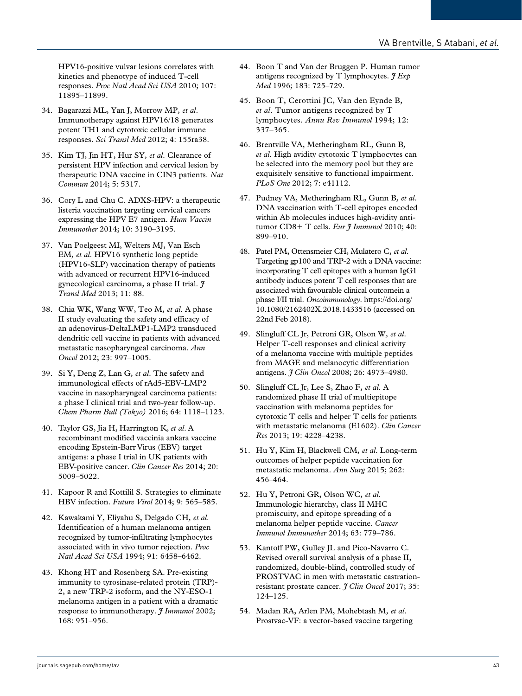HPV16-positive vulvar lesions correlates with kinetics and phenotype of induced T-cell responses. *Proc Natl Acad Sci USA* 2010; 107: 11895–11899.

- 34. Bagarazzi ML, Yan J, Morrow MP*, et al*. Immunotherapy against HPV16/18 generates potent TH1 and cytotoxic cellular immune responses. *Sci Transl Med* 2012; 4: 155ra38.
- 35. Kim TJ, Jin HT, Hur SY*, et al*. Clearance of persistent HPV infection and cervical lesion by therapeutic DNA vaccine in CIN3 patients. *Nat Commun* 2014; 5: 5317.
- 36. Cory L and Chu C. ADXS-HPV: a therapeutic listeria vaccination targeting cervical cancers expressing the HPV E7 antigen. *Hum Vaccin Immunother* 2014; 10: 3190–3195.
- 37. Van Poelgeest MI, Welters MJ, Van Esch EM*, et al*. HPV16 synthetic long peptide (HPV16-SLP) vaccination therapy of patients with advanced or recurrent HPV16-induced gynecological carcinoma, a phase II trial. *J Transl Med* 2013; 11: 88.
- 38. Chia WK, Wang WW, Teo M*, et al*. A phase II study evaluating the safety and efficacy of an adenovirus-DeltaLMP1-LMP2 transduced dendritic cell vaccine in patients with advanced metastatic nasopharyngeal carcinoma. *Ann Oncol* 2012; 23: 997–1005.
- 39. Si Y, Deng Z, Lan G*, et al*. The safety and immunological effects of rAd5-EBV-LMP2 vaccine in nasopharyngeal carcinoma patients: a phase I clinical trial and two-year follow-up. *Chem Pharm Bull (Tokyo)* 2016; 64: 1118–1123.
- 40. Taylor GS, Jia H, Harrington K*, et al*. A recombinant modified vaccinia ankara vaccine encoding Epstein-Barr Virus (EBV) target antigens: a phase I trial in UK patients with EBV-positive cancer. *Clin Cancer Res* 2014; 20: 5009–5022.
- 41. Kapoor R and Kottilil S. Strategies to eliminate HBV infection. *Future Virol* 2014; 9: 565–585.
- 42. Kawakami Y, Eliyahu S, Delgado CH*, et al*. Identification of a human melanoma antigen recognized by tumor-infiltrating lymphocytes associated with in vivo tumor rejection. *Proc Natl Acad Sci USA* 1994; 91: 6458–6462.
- 43. Khong HT and Rosenberg SA. Pre-existing immunity to tyrosinase-related protein (TRP)- 2, a new TRP-2 isoform, and the NY-ESO-1 melanoma antigen in a patient with a dramatic response to immunotherapy. *J Immunol* 2002; 168: 951–956.
- 44. Boon T and Van der Bruggen P. Human tumor antigens recognized by T lymphocytes. *J Exp Med* 1996; 183: 725–729.
- 45. Boon T, Cerottini JC, Van den Eynde B*, et al*. Tumor antigens recognized by T lymphocytes. *Annu Rev Immunol* 1994; 12: 337–365.
- 46. Brentville VA, Metheringham RL, Gunn B*, et al*. High avidity cytotoxic T lymphocytes can be selected into the memory pool but they are exquisitely sensitive to functional impairment. *PLoS One* 2012; 7: e41112.
- 47. Pudney VA, Metheringham RL, Gunn B*, et al*. DNA vaccination with T-cell epitopes encoded within Ab molecules induces high-avidity antitumor CD8+ T cells. *Eur J Immunol* 2010; 40: 899–910.
- 48. Patel PM, Ottensmeier CH, Mulatero C*, et al*. Targeting gp100 and TRP-2 with a DNA vaccine: incorporating T cell epitopes with a human IgG1 antibody induces potent T cell responses that are associated with favourable clinical outcomein a phase I/II trial. *Oncoimmunology*. https://doi.org/ [10.1080/2162402X.2018.1433516 \(accessed on](https://doi.org/10.1080/2162402X.2018.1433516) 22nd Feb 2018).
- 49. Slingluff CL Jr, Petroni GR, Olson W*, et al*. Helper T-cell responses and clinical activity of a melanoma vaccine with multiple peptides from MAGE and melanocytic differentiation antigens. *J Clin Oncol* 2008; 26: 4973–4980.
- 50. Slingluff CL Jr, Lee S, Zhao F*, et al*. A randomized phase II trial of multiepitope vaccination with melanoma peptides for cytotoxic T cells and helper T cells for patients with metastatic melanoma (E1602). *Clin Cancer Res* 2013; 19: 4228–4238.
- 51. Hu Y, Kim H, Blackwell CM*, et al*. Long-term outcomes of helper peptide vaccination for metastatic melanoma. *Ann Surg* 2015; 262: 456–464.
- 52. Hu Y, Petroni GR, Olson WC*, et al*. Immunologic hierarchy, class II MHC promiscuity, and epitope spreading of a melanoma helper peptide vaccine. *Cancer Immunol Immunother* 2014; 63: 779–786.
- 53. Kantoff PW, Gulley JL and Pico-Navarro C. Revised overall survival analysis of a phase II, randomized, double-blind, controlled study of PROSTVAC in men with metastatic castrationresistant prostate cancer. *J Clin Oncol* 2017; 35: 124–125.
- 54. Madan RA, Arlen PM, Mohebtash M*, et al*. Prostvac-VF: a vector-based vaccine targeting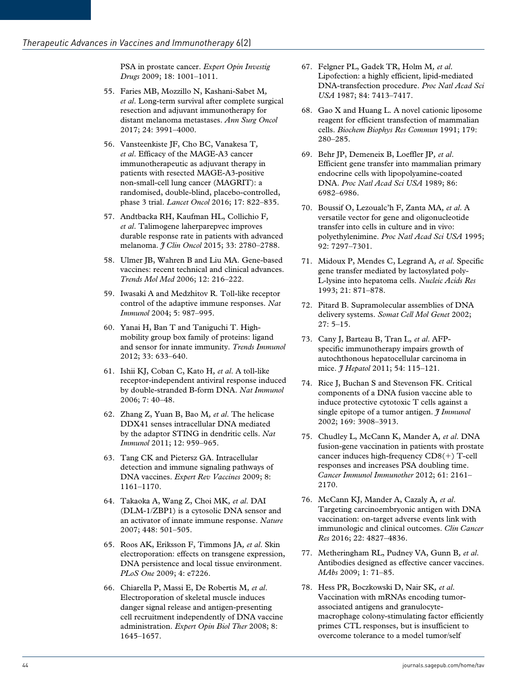PSA in prostate cancer. *Expert Opin Investig Drugs* 2009; 18: 1001–1011.

- 55. Faries MB, Mozzillo N, Kashani-Sabet M*, et al*. Long-term survival after complete surgical resection and adjuvant immunotherapy for distant melanoma metastases. *Ann Surg Oncol* 2017; 24: 3991–4000.
- 56. Vansteenkiste JF, Cho BC, Vanakesa T*, et al*. Efficacy of the MAGE-A3 cancer immunotherapeutic as adjuvant therapy in patients with resected MAGE-A3-positive non-small-cell lung cancer (MAGRIT): a randomised, double-blind, placebo-controlled, phase 3 trial. *Lancet Oncol* 2016; 17: 822–835.
- 57. Andtbacka RH, Kaufman HL, Collichio F*, et al*. Talimogene laherparepvec improves durable response rate in patients with advanced melanoma. *J Clin Oncol* 2015; 33: 2780–2788.
- 58. Ulmer JB, Wahren B and Liu MA. Gene-based vaccines: recent technical and clinical advances. *Trends Mol Med* 2006; 12: 216–222.
- 59. Iwasaki A and Medzhitov R. Toll-like receptor control of the adaptive immune responses. *Nat Immunol* 2004; 5: 987–995.
- 60. Yanai H, Ban T and Taniguchi T. Highmobility group box family of proteins: ligand and sensor for innate immunity. *Trends Immunol* 2012; 33: 633–640.
- 61. Ishii KJ, Coban C, Kato H*, et al*. A toll-like receptor-independent antiviral response induced by double-stranded B-form DNA. *Nat Immunol* 2006; 7: 40–48.
- 62. Zhang Z, Yuan B, Bao M*, et al*. The helicase DDX41 senses intracellular DNA mediated by the adaptor STING in dendritic cells. *Nat Immunol* 2011; 12: 959–965.
- 63. Tang CK and Pietersz GA. Intracellular detection and immune signaling pathways of DNA vaccines. *Expert Rev Vaccines* 2009; 8: 1161–1170.
- 64. Takaoka A, Wang Z, Choi MK*, et al*. DAI (DLM-1/ZBP1) is a cytosolic DNA sensor and an activator of innate immune response. *Nature* 2007; 448: 501–505.
- 65. Roos AK, Eriksson F, Timmons JA*, et al*. Skin electroporation: effects on transgene expression, DNA persistence and local tissue environment. *PLoS One* 2009; 4: e7226.
- 66. Chiarella P, Massi E, De Robertis M*, et al*. Electroporation of skeletal muscle induces danger signal release and antigen-presenting cell recruitment independently of DNA vaccine administration. *Expert Opin Biol Ther* 2008; 8: 1645–1657.
- 67. Felgner PL, Gadek TR, Holm M*, et al*. Lipofection: a highly efficient, lipid-mediated DNA-transfection procedure. *Proc Natl Acad Sci USA* 1987; 84: 7413–7417.
- 68. Gao X and Huang L. A novel cationic liposome reagent for efficient transfection of mammalian cells. *Biochem Biophys Res Commun* 1991; 179: 280–285.
- 69. Behr JP, Demeneix B, Loeffler JP*, et al*. Efficient gene transfer into mammalian primary endocrine cells with lipopolyamine-coated DNA. *Proc Natl Acad Sci USA* 1989; 86: 6982–6986.
- 70. Boussif O, Lezoualc'h F, Zanta MA*, et al*. A versatile vector for gene and oligonucleotide transfer into cells in culture and in vivo: polyethylenimine. *Proc Natl Acad Sci USA* 1995; 92: 7297–7301.
- 71. Midoux P, Mendes C, Legrand A*, et al*. Specific gene transfer mediated by lactosylated poly-L-lysine into hepatoma cells. *Nucleic Acids Res* 1993; 21: 871–878.
- 72. Pitard B. Supramolecular assemblies of DNA delivery systems. *Somat Cell Mol Genet* 2002; 27: 5–15.
- 73. Cany J, Barteau B, Tran L*, et al*. AFPspecific immunotherapy impairs growth of autochthonous hepatocellular carcinoma in mice. *J Hepatol* 2011; 54: 115–121.
- 74. Rice J, Buchan S and Stevenson FK. Critical components of a DNA fusion vaccine able to induce protective cytotoxic T cells against a single epitope of a tumor antigen. *J Immunol* 2002; 169: 3908–3913.
- 75. Chudley L, McCann K, Mander A*, et al*. DNA fusion-gene vaccination in patients with prostate cancer induces high-frequency CD8(+) T-cell responses and increases PSA doubling time. *Cancer Immunol Immunother* 2012; 61: 2161– 2170.
- 76. McCann KJ, Mander A, Cazaly A*, et al*. Targeting carcinoembryonic antigen with DNA vaccination: on-target adverse events link with immunologic and clinical outcomes. *Clin Cancer Res* 2016; 22: 4827–4836.
- 77. Metheringham RL, Pudney VA, Gunn B*, et al*. Antibodies designed as effective cancer vaccines. *MAbs* 2009; 1: 71–85.
- 78. Hess PR, Boczkowski D, Nair SK*, et al*. Vaccination with mRNAs encoding tumorassociated antigens and granulocytemacrophage colony-stimulating factor efficiently primes CTL responses, but is insufficient to overcome tolerance to a model tumor/self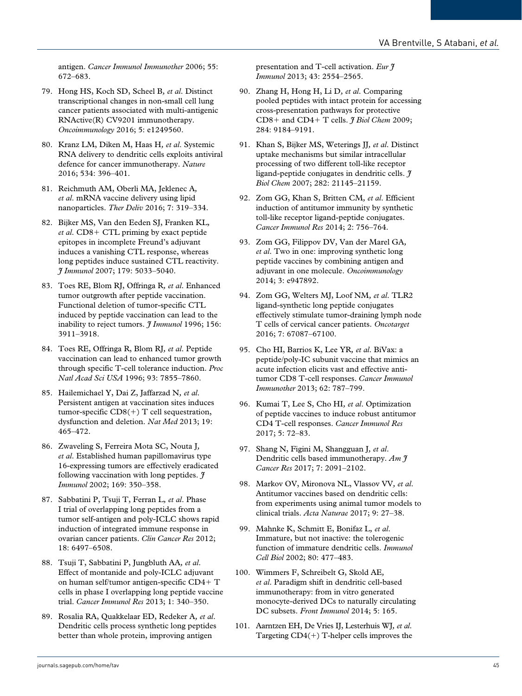antigen. *Cancer Immunol Immunother* 2006; 55: 672–683.

- 79. Hong HS, Koch SD, Scheel B*, et al*. Distinct transcriptional changes in non-small cell lung cancer patients associated with multi-antigenic RNActive(R) CV9201 immunotherapy. *Oncoimmunology* 2016; 5: e1249560.
- 80. Kranz LM, Diken M, Haas H*, et al*. Systemic RNA delivery to dendritic cells exploits antiviral defence for cancer immunotherapy. *Nature* 2016; 534: 396–401.
- 81. Reichmuth AM, Oberli MA, Jeklenec A*, et al*. mRNA vaccine delivery using lipid nanoparticles. *Ther Deliv* 2016; 7: 319–334.
- 82. Bijker MS, Van den Eeden SJ, Franken KL*, et al*. CD8+ CTL priming by exact peptide epitopes in incomplete Freund's adjuvant induces a vanishing CTL response, whereas long peptides induce sustained CTL reactivity. *J Immunol* 2007; 179: 5033–5040.
- 83. Toes RE, Blom RJ, Offringa R*, et al*. Enhanced tumor outgrowth after peptide vaccination. Functional deletion of tumor-specific CTL induced by peptide vaccination can lead to the inability to reject tumors.  $\frac{a}{b}$  *Immunol* 1996; 156: 3911–3918.
- 84. Toes RE, Offringa R, Blom RJ*, et al*. Peptide vaccination can lead to enhanced tumor growth through specific T-cell tolerance induction. *Proc Natl Acad Sci USA* 1996; 93: 7855–7860.
- 85. Hailemichael Y, Dai Z, Jaffarzad N*, et al*. Persistent antigen at vaccination sites induces tumor-specific  $CDS(+)$  T cell sequestration, dysfunction and deletion. *Nat Med* 2013; 19: 465–472.
- 86. Zwaveling S, Ferreira Mota SC, Nouta J*, et al*. Established human papillomavirus type 16-expressing tumors are effectively eradicated following vaccination with long peptides. *J Immunol* 2002; 169: 350–358.
- 87. Sabbatini P, Tsuji T, Ferran L*, et al*. Phase I trial of overlapping long peptides from a tumor self-antigen and poly-ICLC shows rapid induction of integrated immune response in ovarian cancer patients. *Clin Cancer Res* 2012; 18: 6497–6508.
- 88. Tsuji T, Sabbatini P, Jungbluth AA*, et al*. Effect of montanide and poly-ICLC adjuvant on human self/tumor antigen-specific CD4+ T cells in phase I overlapping long peptide vaccine trial. *Cancer Immunol Res* 2013; 1: 340–350.
- 89. Rosalia RA, Quakkelaar ED, Redeker A*, et al*. Dendritic cells process synthetic long peptides better than whole protein, improving antigen

presentation and T-cell activation. *Eur J Immunol* 2013; 43: 2554–2565.

- 90. Zhang H, Hong H, Li D*, et al*. Comparing pooled peptides with intact protein for accessing cross-presentation pathways for protective CD8+ and CD4+ T cells. *J Biol Chem* 2009; 284: 9184–9191.
- 91. Khan S, Bijker MS, Weterings JJ*, et al*. Distinct uptake mechanisms but similar intracellular processing of two different toll-like receptor ligand-peptide conjugates in dendritic cells. *J Biol Chem* 2007; 282: 21145–21159.
- 92. Zom GG, Khan S, Britten CM*, et al*. Efficient induction of antitumor immunity by synthetic toll-like receptor ligand-peptide conjugates. *Cancer Immunol Res* 2014; 2: 756–764.
- 93. Zom GG, Filippov DV, Van der Marel GA*, et al*. Two in one: improving synthetic long peptide vaccines by combining antigen and adjuvant in one molecule. *Oncoimmunology* 2014; 3: e947892.
- 94. Zom GG, Welters MJ, Loof NM*, et al*. TLR2 ligand-synthetic long peptide conjugates effectively stimulate tumor-draining lymph node T cells of cervical cancer patients. *Oncotarget* 2016; 7: 67087–67100.
- 95. Cho HI, Barrios K, Lee YR*, et al*. BiVax: a peptide/poly-IC subunit vaccine that mimics an acute infection elicits vast and effective antitumor CD8 T-cell responses. *Cancer Immunol Immunother* 2013; 62: 787–799.
- 96. Kumai T, Lee S, Cho HI*, et al*. Optimization of peptide vaccines to induce robust antitumor CD4 T-cell responses. *Cancer Immunol Res* 2017; 5: 72–83.
- 97. Shang N, Figini M, Shangguan J*, et al*. Dendritic cells based immunotherapy. *Am J Cancer Res* 2017; 7: 2091–2102.
- 98. Markov OV, Mironova NL, Vlassov VV*, et al*. Antitumor vaccines based on dendritic cells: from experiments using animal tumor models to clinical trials. *Acta Naturae* 2017; 9: 27–38.
- 99. Mahnke K, Schmitt E, Bonifaz L*, et al*. Immature, but not inactive: the tolerogenic function of immature dendritic cells. *Immunol Cell Biol* 2002; 80: 477–483.
- 100. Wimmers F, Schreibelt G, Skold AE*, et al*. Paradigm shift in dendritic cell-based immunotherapy: from in vitro generated monocyte-derived DCs to naturally circulating DC subsets. *Front Immunol* 2014; 5: 165.
- 101. Aarntzen EH, De Vries IJ, Lesterhuis WJ*, et al*. Targeting  $CD4(+)$  T-helper cells improves the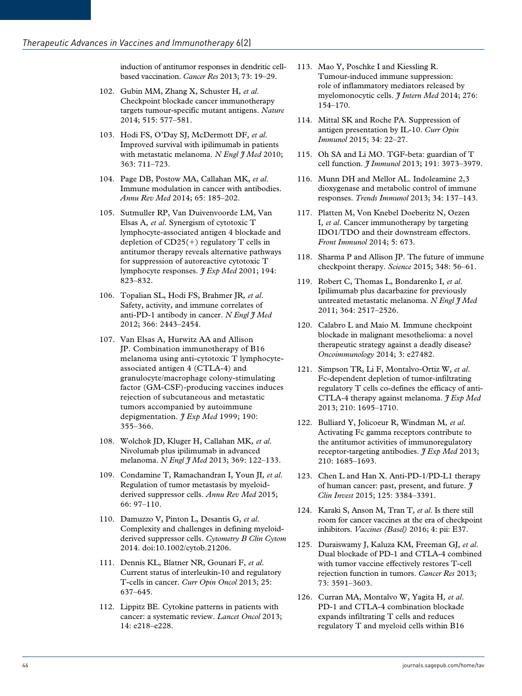induction of antitumor responses in dendritic cellbased vaccination. *Cancer Res* 2013; 73: 19–29.

- 102. Gubin MM, Zhang X, Schuster H*, et al*. Checkpoint blockade cancer immunotherapy targets tumour-specific mutant antigens. *Nature* 2014; 515: 577–581.
- 103. Hodi FS, O'Day SJ, McDermott DF*, et al*. Improved survival with ipilimumab in patients with metastatic melanoma. *N Engl I Med* 2010; 363: 711–723.
- 104. Page DB, Postow MA, Callahan MK*, et al*. Immune modulation in cancer with antibodies. *Annu Rev Med* 2014; 65: 185–202.
- 105. Sutmuller RP, Van Duivenvoorde LM, Van Elsas A*, et al*. Synergism of cytotoxic T lymphocyte-associated antigen 4 blockade and depletion of CD25(+) regulatory T cells in antitumor therapy reveals alternative pathways for suppression of autoreactive cytotoxic T lymphocyte responses. *J Exp Med* 2001; 194: 823–832.
- 106. Topalian SL, Hodi FS, Brahmer JR*, et al*. Safety, activity, and immune correlates of anti-PD-1 antibody in cancer. *N Engl J Med* 2012; 366: 2443–2454.
- 107. Van Elsas A, Hurwitz AA and Allison JP. Combination immunotherapy of B16 melanoma using anti-cytotoxic T lymphocyteassociated antigen 4 (CTLA-4) and granulocyte/macrophage colony-stimulating factor (GM-CSF)-producing vaccines induces rejection of subcutaneous and metastatic tumors accompanied by autoimmune depigmentation. *J Exp Med* 1999; 190: 355–366.
- 108. Wolchok JD, Kluger H, Callahan MK*, et al*. Nivolumab plus ipilimumab in advanced melanoma. *N Engl J Med* 2013; 369: 122–133.
- 109. Condamine T, Ramachandran I, Youn JI*, et al*. Regulation of tumor metastasis by myeloidderived suppressor cells. *Annu Rev Med* 2015; 66: 97–110.
- 110. Damuzzo V, Pinton L, Desantis G*, et al*. Complexity and challenges in defining myeloidderived suppressor cells. *Cytometry B Clin Cytom* 2014. doi:10.1002/cytob.21206.
- 111. Dennis KL, Blatner NR, Gounari F*, et al*. Current status of interleukin-10 and regulatory T-cells in cancer. *Curr Opin Oncol* 2013; 25: 637–645.
- 112. Lippitz BE. Cytokine patterns in patients with cancer: a systematic review. *Lancet Oncol* 2013; 14: e218–e228.
- 113. Mao Y, Poschke I and Kiessling R. Tumour-induced immune suppression: role of inflammatory mediators released by myelomonocytic cells. *I Intern Med* 2014; 276: 154–170.
- 114. Mittal SK and Roche PA. Suppression of antigen presentation by IL-10. *Curr Opin Immunol* 2015; 34: 22–27.
- 115. Oh SA and Li MO. TGF-beta: guardian of T cell function. *J Immunol* 2013; 191: 3973–3979.
- 116. Munn DH and Mellor AL. Indoleamine 2,3 dioxygenase and metabolic control of immune responses. *Trends Immunol* 2013; 34: 137–143.
- 117. Platten M, Von Knebel Doeberitz N, Oezen I*, et al*. Cancer immunotherapy by targeting IDO1/TDO and their downstream effectors. *Front Immunol* 2014; 5: 673.
- 118. Sharma P and Allison JP. The future of immune checkpoint therapy. *Science* 2015; 348: 56–61.
- 119. Robert C, Thomas L, Bondarenko I*, et al*. Ipilimumab plus dacarbazine for previously untreated metastatic melanoma. *N Engl J Med* 2011; 364: 2517–2526.
- 120. Calabro L and Maio M. Immune checkpoint blockade in malignant mesothelioma: a novel therapeutic strategy against a deadly disease? *Oncoimmunology* 2014; 3: e27482.
- 121. Simpson TR, Li F, Montalvo-Ortiz W*, et al*. Fc-dependent depletion of tumor-infiltrating regulatory T cells co-defines the efficacy of anti-CTLA-4 therapy against melanoma. *J Exp Med* 2013; 210: 1695–1710.
- 122. Bulliard Y, Jolicoeur R, Windman M*, et al*. Activating Fc gamma receptors contribute to the antitumor activities of immunoregulatory receptor-targeting antibodies. *J Exp Med* 2013; 210: 1685–1693.
- 123. Chen L and Han X. Anti-PD-1/PD-L1 therapy of human cancer: past, present, and future. *J Clin Invest* 2015; 125: 3384–3391.
- 124. Karaki S, Anson M, Tran T*, et al*. Is there still room for cancer vaccines at the era of checkpoint inhibitors. *Vaccines (Basel)* 2016; 4: pii: E37.
- 125. Duraiswamy J, Kaluza KM, Freeman GJ*, et al*. Dual blockade of PD-1 and CTLA-4 combined with tumor vaccine effectively restores T-cell rejection function in tumors. *Cancer Res* 2013; 73: 3591–3603.
- 126. Curran MA, Montalvo W, Yagita H*, et al*. PD-1 and CTLA-4 combination blockade expands infiltrating T cells and reduces regulatory T and myeloid cells within B16